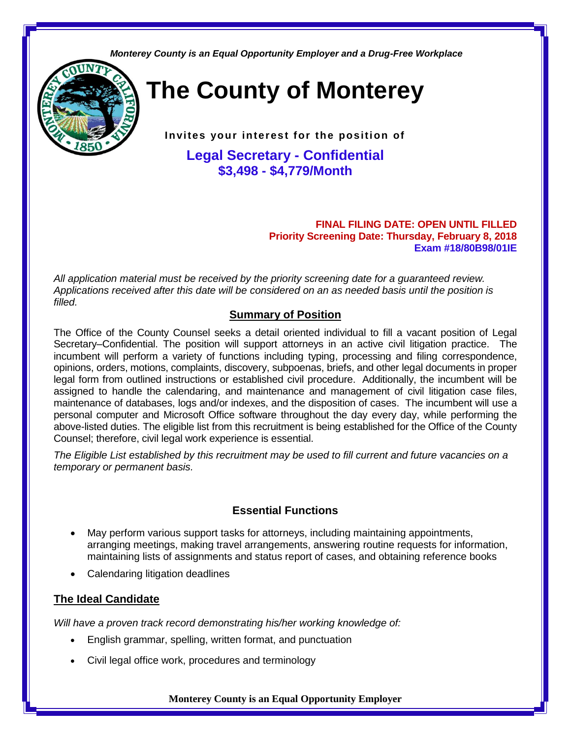*Monterey County is an Equal Opportunity Employer and a Drug-Free Workplace*



**The County of Monterey**

**Invites your interest for the position of**

**Legal Secretary - Confidential \$3,498 - \$4,779/Month**

#### **FINAL FILING DATE: OPEN UNTIL FILLED Priority Screening Date: Thursday, February 8, 2018 Exam #18/80B98/01IE**

*All application material must be received by the priority screening date for a guaranteed review. Applications received after this date will be considered on an as needed basis until the position is filled.*

# **Summary of Position**

The Office of the County Counsel seeks a detail oriented individual to fill a vacant position of Legal Secretary–Confidential. The position will support attorneys in an active civil litigation practice. The incumbent will perform a variety of functions including typing, processing and filing correspondence, opinions, orders, motions, complaints, discovery, subpoenas, briefs, and other legal documents in proper legal form from outlined instructions or established civil procedure. Additionally, the incumbent will be assigned to handle the calendaring, and maintenance and management of civil litigation case files, maintenance of databases, logs and/or indexes, and the disposition of cases. The incumbent will use a personal computer and Microsoft Office software throughout the day every day, while performing the above-listed duties. The eligible list from this recruitment is being established for the Office of the County Counsel; therefore, civil legal work experience is essential.

*The Eligible List established by this recruitment may be used to fill current and future vacancies on a temporary or permanent basis.*

# **Essential Functions**

- May perform various support tasks for attorneys, including maintaining appointments, arranging meetings, making travel arrangements, answering routine requests for information, maintaining lists of assignments and status report of cases, and obtaining reference books
- Calendaring litigation deadlines

# **The Ideal Candidate**

*Will have a proven track record demonstrating his/her working knowledge of:*

- English grammar, spelling, written format, and punctuation
- Civil legal office work, procedures and terminology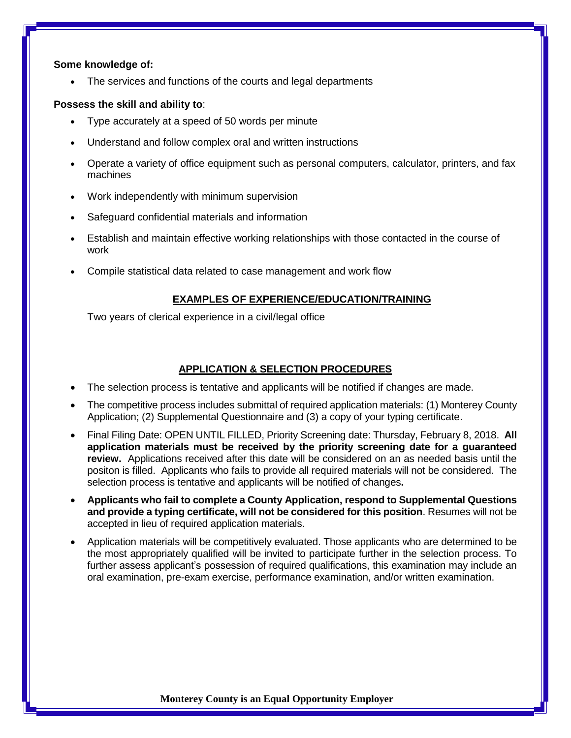#### **Some knowledge of:**

• The services and functions of the courts and legal departments

### **Possess the skill and ability to**:

- Type accurately at a speed of 50 words per minute
- Understand and follow complex oral and written instructions
- Operate a variety of office equipment such as personal computers, calculator, printers, and fax machines
- Work independently with minimum supervision
- Safeguard confidential materials and information
- Establish and maintain effective working relationships with those contacted in the course of work
- Compile statistical data related to case management and work flow

## **EXAMPLES OF EXPERIENCE/EDUCATION/TRAINING**

Two years of clerical experience in a civil/legal office

# **APPLICATION & SELECTION PROCEDURES**

- The selection process is tentative and applicants will be notified if changes are made.
- The competitive process includes submittal of required application materials: (1) Monterey County Application; (2) Supplemental Questionnaire and (3) a copy of your typing certificate.
- Final Filing Date: OPEN UNTIL FILLED, Priority Screening date: Thursday, February 8, 2018. **All application materials must be received by the priority screening date for a guaranteed review.** Applications received after this date will be considered on an as needed basis until the positon is filled. Applicants who fails to provide all required materials will not be considered. The selection process is tentative and applicants will be notified of changes**.**
- **Applicants who fail to complete a County Application, respond to Supplemental Questions and provide a typing certificate, will not be considered for this position**. Resumes will not be accepted in lieu of required application materials.
- Application materials will be competitively evaluated. Those applicants who are determined to be the most appropriately qualified will be invited to participate further in the selection process. To further assess applicant's possession of required qualifications, this examination may include an oral examination, pre-exam exercise, performance examination, and/or written examination.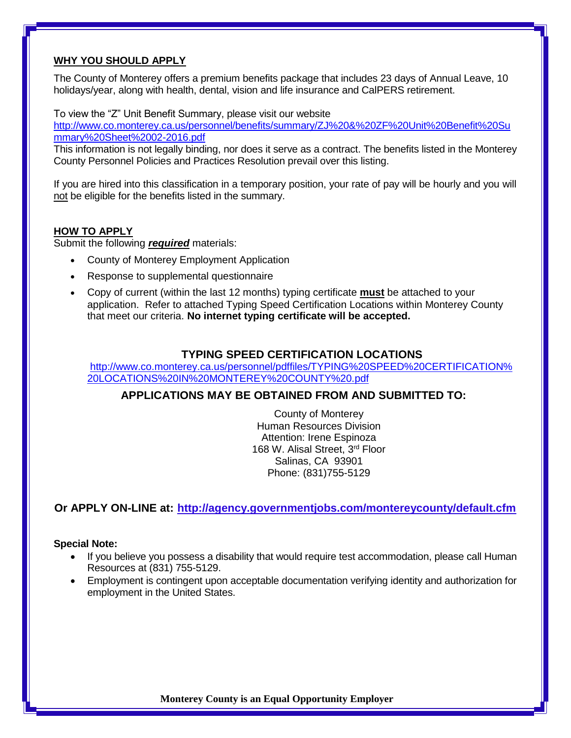## **WHY YOU SHOULD APPLY**

The County of Monterey offers a premium benefits package that includes 23 days of Annual Leave, 10 holidays/year, along with health, dental, vision and life insurance and CalPERS retirement.

To view the "Z" Unit Benefit Summary, please visit our website

[http://www.co.monterey.ca.us/personnel/benefits/summary/ZJ%20&%20ZF%20Unit%20Benefit%20Su](http://www.co.monterey.ca.us/personnel/benefits/summary/Z-Non-Safety-Revised-10-2014.pdf) [mmary%20Sheet%2002-2016.pdf](http://www.co.monterey.ca.us/personnel/benefits/summary/Z-Non-Safety-Revised-10-2014.pdf)

This information is not legally binding, nor does it serve as a contract. The benefits listed in the Monterey County Personnel Policies and Practices Resolution prevail over this listing.

If you are hired into this classification in a temporary position, your rate of pay will be hourly and you will not be eligible for the benefits listed in the summary.

## **HOW TO APPLY**

Submit the following *required* materials:

- County of Monterey Employment Application
- Response to supplemental questionnaire
- Copy of current (within the last 12 months) typing certificate **must** be attached to your application. Refer to attached Typing Speed Certification Locations within Monterey County that meet our criteria. **No internet typing certificate will be accepted.**

### **TYPING SPEED CERTIFICATION LOCATIONS**

[http://www.co.monterey.ca.us/personnel/pdffiles/TYPING%20SPEED%20CERTIFICATION%](http://www.co.monterey.ca.us/personnel/pdffiles/TYPING%20SPEED%20CERTIFICATION%20LOCATIONS%20IN%20MONTEREY%20COUNTY%20.pdf) [20LOCATIONS%20IN%20MONTEREY%20COUNTY%20.pdf](http://www.co.monterey.ca.us/personnel/pdffiles/TYPING%20SPEED%20CERTIFICATION%20LOCATIONS%20IN%20MONTEREY%20COUNTY%20.pdf)

## **APPLICATIONS MAY BE OBTAINED FROM AND SUBMITTED TO:**

County of Monterey Human Resources Division Attention: Irene Espinoza 168 W. Alisal Street, 3<sup>rd</sup> Floor Salinas, CA 93901 Phone: (831)755-5129

**Or APPLY ON-LINE at: <http://agency.governmentjobs.com/montereycounty/default.cfm>**

#### **Special Note:**

- If you believe you possess a disability that would require test accommodation, please call Human Resources at (831) 755-5129.
- Employment is contingent upon acceptable documentation verifying identity and authorization for employment in the United States.